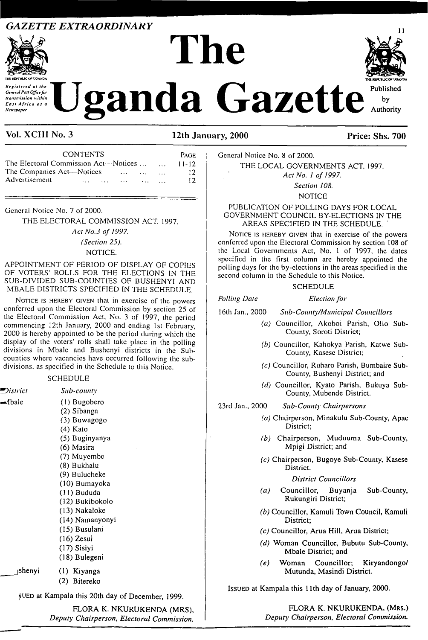## *GAZETTE EXTRAORDINARY*



# The **Zanda Gazette** Authority



Vol. XCIII No. 3 12th January, 2000 Price: Shs. 700

| <b>FUELIC OF UGANDA</b><br>Registered at the<br>Jganda<br>General Post Office for<br>transmission within<br>East Africa as a<br>Newspaper<br>Vol. XCIII No. 3 | 12th Ja           |
|---------------------------------------------------------------------------------------------------------------------------------------------------------------|-------------------|
|                                                                                                                                                               |                   |
|                                                                                                                                                               | <b>PACE</b>       |
| CONTENTS<br>The Electoral Commission Act-Notices<br>The Companies Act-Notices<br>Advertisement                                                                | 11-12<br>12<br>12 |

*Act No.3 of 1997.*

*(Section 25).*

### NOTICE.

APPOINTMENT OF PERIOD OF DISPLAY OF COPIES OF VOTERS' ROLLS FOR THE ELECTIONS IN THE SUB-DIVIDED SUB-COUNTIES OF BUSHENYI AND MBALE DISTRICTS SPECIFIED IN THE SCHEDULE.

NOTICE IS HEREBY GIVEN that in exercise of the powers conferred upon the Electoral Commission by section 25 of the Electoral Commission Act, No. 3 of 1997, the period commencing 12th January, 2000 and ending 1st February, 2000 is hereby appointed to be the period during which the display of the voters' rolls shall take place in the polling divisions in Mbale and Bushenyi districts in the Subcounties where vacancies have occurred following the subdivisions, as specified in the Schedule to this Notice.

#### **SCHEDULE**

| ■District | Sub-county      |
|-----------|-----------------|
| ⊸⁄bale    | $(1)$ Bugobero  |
|           | (2) Sibanga     |
|           | (3) Buwagogo    |
|           | $(4)$ Kato      |
|           | (5) Buginyanya  |
|           | (6) Masira      |
|           | (7) Muyembe     |
|           | (8) Bukhalu     |
|           | (9) Bulucheke   |
|           | (10) Bumayoka   |
|           | (11) Bududa     |
|           | (12) Bukibokolo |
|           | (13) Nakaloke   |
|           | (14) Namanyonyi |
|           | (15) Busulani   |
|           | $(16)$ Zesui    |
|           | (17) Sisiyi     |
|           | (18) Bulegeni   |
| ishenyi   | (1) Kiyanga     |
|           | (2) Bitereko    |
|           |                 |

sued at Kampala this 20th day of December, 1999.

FLORA K. NKURUKENDA (MRS), *Deputy Chairperson, Electoral Commission.* General Notice No. 8 of 2000.

THE LOCAL GOVERNMENTS ACT, 1997. *Act No. <sup>1</sup> of 1997. Section 108.*

**NOTICE** 

PUBLICATION OF POLLING DAYS FOR LOCAL GOVERNMENT COUNCIL BY-ELECTIONS IN THE AREAS SPECIFIED IN THE SCHEDULE.

NOTICE IS HEREBY GIVEN that in exercise of the powers conferred upon the Electoral Commission by section 108 of the Local Governments Act, No. <sup>1</sup> of 1997, the dates specified in the first column arc hereby appointed the polling days for the by-elections in the areas specified in the second column in the Schedule to this Notice.

#### SCHEDULE

*Polling Date Election for*

- 16th Jan., 2000 *Sub-County/Municipal Councillors*
	- *(a)* Councillor, Akoboi Parish, Olio Sub-County, Soroti District;
	- *(b)* Councillor, Kahokya Parish, Katwe Sub-County, Kasese District;
	- *(c)* Councillor, Ruharo Parish, Bumbaire Sub-County, Bushenyi District; and
	- *(d)* Councillor, Kyato Parish, Bukuya Sub-County, Mubende District.

23rd Jan., 2000 *Sub-Count)' Chairpersons*

- *(a)* Chairperson, Minakulu Sub-County, Apac District;
- *(b)* Chairperson, Muduuma Sub-County, Mpigi District; and
- *(c)* Chairperson, Bugoye Sub-County, Kasese District.

*District Councillors*

- *(a)* Councillor, Buyanja Sub-County, Rukungiri District;
- *(b)* Councillor, Kamuli Town Council, Kamuli District;
- *(c)* Councillor, Arua Hill, Arua District;
- *(d)* Woman Councillor, Bubutu Sub-County, Mbale District; and
- *(e)* Woman Councillor; Kiryandongo/ Mutunda, Masindi District.

Issued at Kampala this 11th day of January, 2000.

FLORA K. NKURUKENDA, (Mrs.) *Deputy Chairperson, Electoral Commission.*